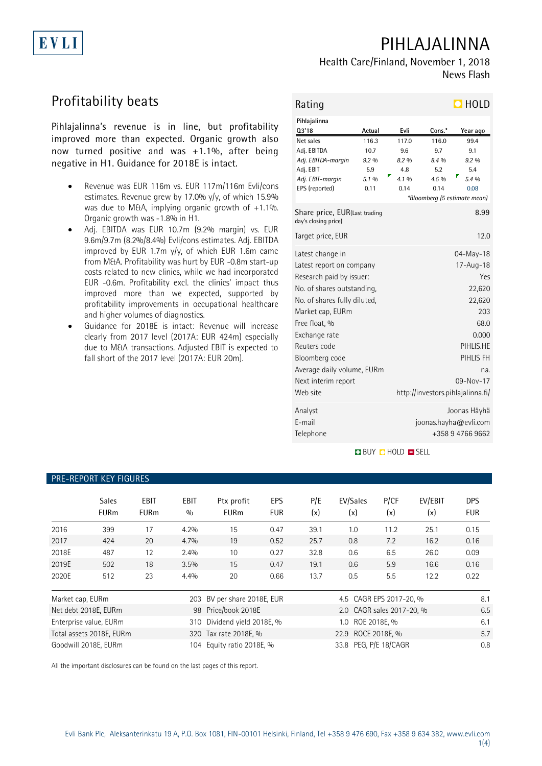# PIHLAJALINNA

## Health Care/Finland, November 1, 2018 News Flash

# Profitability beats

EVLI

Pihlajalinna's revenue is in line, but profitability improved more than expected. Organic growth also now turned positive and was +1.1%, after being negative in H1. Guidance for 2018E is intact.

- Revenue was EUR 116m vs. EUR 117m/116m Evli/cons estimates. Revenue grew by 17.0% y/y, of which 15.9% was due to M&A, implying organic growth of  $+1.1\%$ . Organic growth was -1.8% in H1.
- Adj. EBITDA was EUR 10.7m (9.2% margin) vs. EUR 9.6m/9.7m (8.2%/8.4%) Evli/cons estimates. Adj. EBITDA improved by EUR 1.7m y/y, of which EUR 1.6m came from M&A. Profitability was hurt by EUR -0.8m start-up costs related to new clinics, while we had incorporated EUR -0.6m. Profitability excl. the clinics' impact thus improved more than we expected, supported by profitability improvements in occupational healthcare and higher volumes of diagnostics.
- Guidance for 2018E is intact: Revenue will increase clearly from 2017 level (2017A: EUR 424m) especially due to M&A transactions. Adjusted EBIT is expected to fall short of the 2017 level (2017A: EUR 20m).

| Rating                                                |                 |                  |        | $\Box$ HOLD                       |  |
|-------------------------------------------------------|-----------------|------------------|--------|-----------------------------------|--|
| Pihlajalinna                                          |                 |                  |        |                                   |  |
| 03'18                                                 | Actual          | Evli             | Cons.* | Year ago                          |  |
| Net sales                                             | 116.3           | 117.0            | 116.0  | 99.4                              |  |
| Adj. EBITDA                                           | 10.7            | 9.6              | 9.7    | 9.1                               |  |
| Adj. EBITDA-margin                                    | 9.2%            | 8.2%             | 8.4 %  | 9.2%                              |  |
| Adj. EBIT                                             | 5.9             | 4.8              | 5.2    | 5.4                               |  |
| Adj. EBIT-margin                                      | 5.1 %           | 4.1 %            | 4.5 %  | 5.4 %                             |  |
| EPS (reported)                                        | 0.11            | 0.14             | 0.14   | 0.08                              |  |
|                                                       |                 |                  |        | *Bloomberg (5 estimate mean)      |  |
| Share price, EUR(Last trading<br>day's closing price) |                 |                  | 8.99   |                                   |  |
| Target price, EUR                                     |                 |                  |        | 12.0                              |  |
| Latest change in                                      |                 | 04-May-18        |        |                                   |  |
| Latest report on company                              |                 | $17 - Aug - 18$  |        |                                   |  |
| Research paid by issuer:                              |                 | Yes              |        |                                   |  |
| No. of shares outstanding,                            | 22,620          |                  |        |                                   |  |
| No. of shares fully diluted,                          |                 | 22,620           |        |                                   |  |
|                                                       | 203             |                  |        |                                   |  |
| Market cap, EURm                                      |                 |                  |        |                                   |  |
| Free float, %                                         | 68.0            |                  |        |                                   |  |
| Exchange rate                                         | 0.000           |                  |        |                                   |  |
| Reuters code                                          | PIHLIS.HE       |                  |        |                                   |  |
| Bloomberg code                                        | PIHLIS FH       |                  |        |                                   |  |
| Average daily volume, EURm                            |                 |                  |        | na.                               |  |
| Next interim report                                   | $09 - Nov - 17$ |                  |        |                                   |  |
| Web site                                              |                 |                  |        | http://investors.pihlajalinna.fi/ |  |
| Analyst                                               |                 | Joonas Häyhä     |        |                                   |  |
| E-mail                                                |                 |                  |        | joonas.hayha@evli.com             |  |
| Telephone                                             |                 | +358 9 4766 9662 |        |                                   |  |
|                                                       |                 |                  |        |                                   |  |

## **BUY DHOLD DISELL**

## PRE-REPORT KEY FIGURES Sales EBIT EBIT Ptx profit EPS P/E EV/Sales P/CF EV/EBIT DPS EURm EURm % EURm EUR (x) (x) (x) (x) EUR 2016 399 17 4.2% 15 0.47 39.1 1.0 11.2 25.1 0.15 2017 424 20 4.7% 19 0.52 25.7 0.8 7.2 16.2 0.16 2018E 487 12 2.4% 10 0.27 32.8 0.6 6.5 26.0 0.09 2019E 502 18 3.5% 15 0.47 19.1 0.6 5.9 16.6 0.16 2020E 512 23 4.4% 20 0.66 13.7 0.5 5.5 12.2 0.22 Market cap, EURm 203 BV per share 2018E, EUR 4.5 CAGR EPS 2017-20, % 8.1 Net debt 2018E, EURm 98 Price/book 2018E 2.0 CAGR sales 2017-20, % 6.5 Enterprise value, EURm 310 Dividend yield 2018E, % 1.0 ROE 2018E, % 6.1 Total assets 2018E. EURm 320 Tax rate 2018E, % 22.9 ROCE 2018E, % 3.7 Goodwill 2018E, EURm 104 Equity ratio 2018E, % 33.8 PEG, P/E 18/CAGR 0.8 0.8

All the important disclosures can be found on the last pages of this report.

1(4)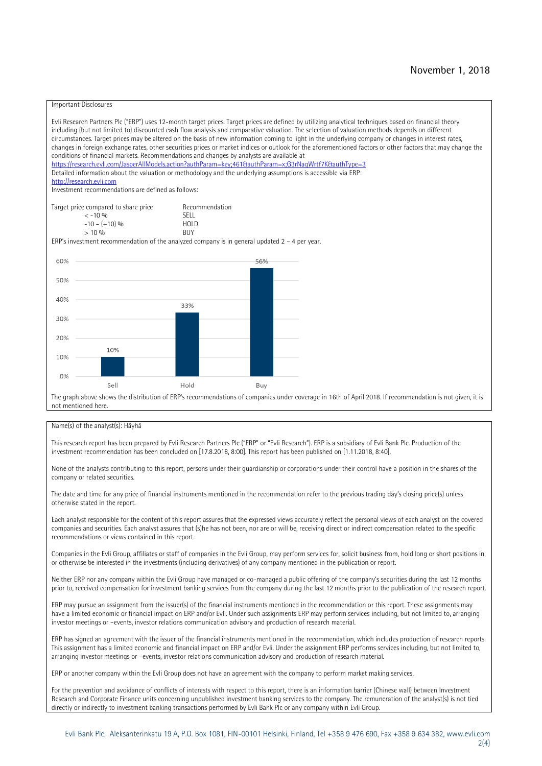## Important Disclosures

Evli Research Partners Plc ("ERP") uses 12-month target prices. Target prices are defined by utilizing analytical techniques based on financial theory including (but not limited to) discounted cash flow analysis and comparative valuation. The selection of valuation methods depends on different circumstances. Target prices may be altered on the basis of new information coming to light in the underlying company or changes in interest rates, changes in foreign exchange rates, other securities prices or market indices or outlook for the aforementioned factors or other factors that may change the conditions of financial markets. Recommendations and changes by analysts are available at https://research.evli.com/JasperAllModels.action?authParam=key;461&tauthParam=x;G3rNagWrtf7K&tauthType=3 Detailed information about the valuation or methodology and the underlying assumptions is accessible via ERP: [http://research.evli.com](http://research.evli.com/) Investment recommendations are defined as follows: Target price compared to share price Recommendation<br>  $\leq -10\%$  SFII  $\langle$  -10 % SELL<br>-10 - (+10) % SELL  $-10 - (+10) \%$  HOL<br>  $> 10 \%$  BUY  $> 10\%$ ERP's investment recommendation of the analyzed company is in general updated 2 – 4 per year. 60% 56% 50% 40% 33% 30% 20% 10% 10%  $0%$ Sell Hold Buy

The graph above shows the distribution of ERP's recommendations of companies under coverage in 16th of April 2018. If recommendation is not given, it is not mentioned here.

### Name(s) of the analyst(s): Häyhä

This research report has been prepared by Evli Research Partners Plc ("ERP" or "Evli Research"). ERP is a subsidiary of Evli Bank Plc. Production of the investment recommendation has been concluded on [17.8.2018, 8:00]. This report has been published on [1.11.2018, 8:40].

None of the analysts contributing to this report, persons under their guardianship or corporations under their control have a position in the shares of the company or related securities.

The date and time for any price of financial instruments mentioned in the recommendation refer to the previous trading day's closing price(s) unless otherwise stated in the report.

Each analyst responsible for the content of this report assures that the expressed views accurately reflect the personal views of each analyst on the covered companies and securities. Each analyst assures that (s)he has not been, nor are or will be, receiving direct or indirect compensation related to the specific recommendations or views contained in this report.

Companies in the Evli Group, affiliates or staff of companies in the Evli Group, may perform services for, solicit business from, hold long or short positions in, or otherwise be interested in the investments (including derivatives) of any company mentioned in the publication or report.

Neither ERP nor any company within the Evli Group have managed or co-managed a public offering of the company's securities during the last 12 months prior to, received compensation for investment banking services from the company during the last 12 months prior to the publication of the research report.

ERP may pursue an assignment from the issuer(s) of the financial instruments mentioned in the recommendation or this report. These assignments may have a limited economic or financial impact on ERP and/or Evli. Under such assignments ERP may perform services including, but not limited to, arranging investor meetings or –events, investor relations communication advisory and production of research material.

ERP has signed an agreement with the issuer of the financial instruments mentioned in the recommendation, which includes production of research reports. This assignment has a limited economic and financial impact on ERP and/or Evli. Under the assignment ERP performs services including, but not limited to, arranging investor meetings or –events, investor relations communication advisory and production of research material.

ERP or another company within the Evli Group does not have an agreement with the company to perform market making services.

For the prevention and avoidance of conflicts of interests with respect to this report, there is an information barrier (Chinese wall) between Investment Research and Corporate Finance units concerning unpublished investment banking services to the company. The remuneration of the analyst(s) is not tied directly or indirectly to investment banking transactions performed by Evli Bank Plc or any company within Evli Group.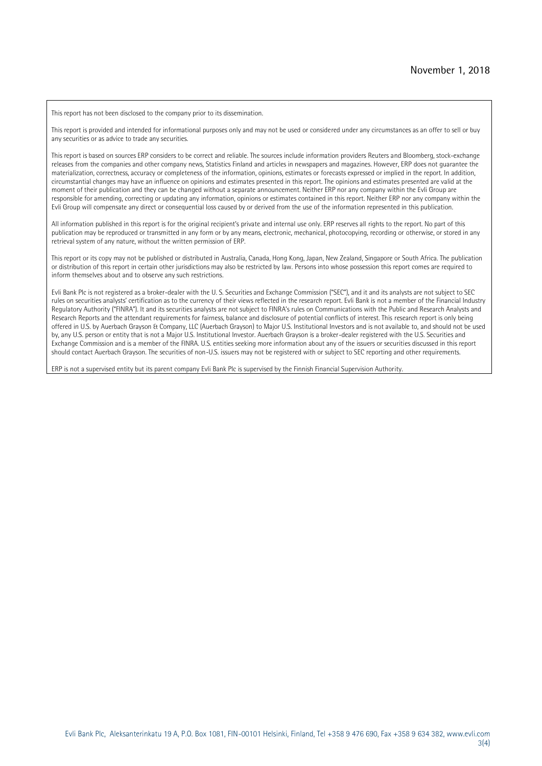This report has not been disclosed to the company prior to its dissemination.

This report is provided and intended for informational purposes only and may not be used or considered under any circumstances as an offer to sell or buy any securities or as advice to trade any securities.

This report is based on sources ERP considers to be correct and reliable. The sources include information providers Reuters and Bloomberg, stock-exchange releases from the companies and other company news, Statistics Finland and articles in newspapers and magazines. However, ERP does not guarantee the materialization, correctness, accuracy or completeness of the information, opinions, estimates or forecasts expressed or implied in the report. In addition, circumstantial changes may have an influence on opinions and estimates presented in this report. The opinions and estimates presented are valid at the moment of their publication and they can be changed without a separate announcement. Neither ERP nor any company within the Evli Group are responsible for amending, correcting or updating any information, opinions or estimates contained in this report. Neither ERP nor any company within the Evli Group will compensate any direct or consequential loss caused by or derived from the use of the information represented in this publication.

All information published in this report is for the original recipient's private and internal use only. ERP reserves all rights to the report. No part of this publication may be reproduced or transmitted in any form or by any means, electronic, mechanical, photocopying, recording or otherwise, or stored in any retrieval system of any nature, without the written permission of ERP.

This report or its copy may not be published or distributed in Australia, Canada, Hong Kong, Japan, New Zealand, Singapore or South Africa. The publication or distribution of this report in certain other jurisdictions may also be restricted by law. Persons into whose possession this report comes are required to inform themselves about and to observe any such restrictions.

Evli Bank Plc is not registered as a broker-dealer with the U. S. Securities and Exchange Commission ("SEC"), and it and its analysts are not subject to SEC rules on securities analysts' certification as to the currency of their views reflected in the research report. Evli Bank is not a member of the Financial Industry Regulatory Authority ("FINRA"). It and its securities analysts are not subject to FINRA's rules on Communications with the Public and Research Analysts and Research Reports and the attendant requirements for fairness, balance and disclosure of potential conflicts of interest. This research report is only being offered in U.S. by Auerbach Grayson & Company, LLC (Auerbach Grayson) to Major U.S. Institutional Investors and is not available to, and should not be used by, any U.S. person or entity that is not a Major U.S. Institutional Investor. Auerbach Grayson is a broker-dealer registered with the U.S. Securities and Exchange Commission and is a member of the FINRA. U.S. entities seeking more information about any of the issuers or securities discussed in this report should contact Auerbach Grayson. The securities of non-U.S. issuers may not be registered with or subject to SEC reporting and other requirements.

ERP is not a supervised entity but its parent company Evli Bank Plc is supervised by the Finnish Financial Supervision Authority.